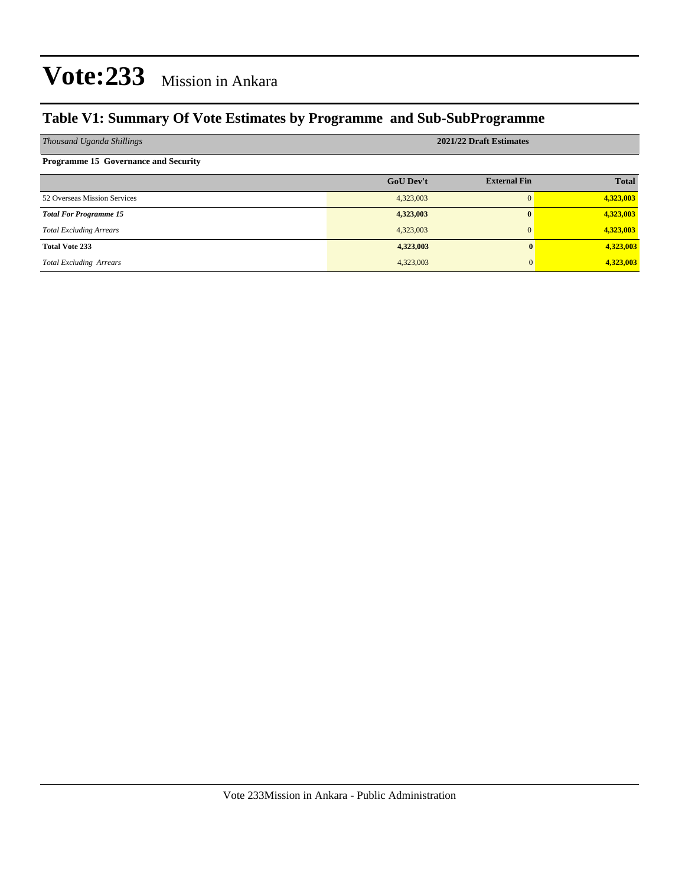#### **Table V1: Summary Of Vote Estimates by Programme and Sub-SubProgramme**

| Thousand Uganda Shillings                   | 2021/22 Draft Estimates |                     |              |  |  |  |
|---------------------------------------------|-------------------------|---------------------|--------------|--|--|--|
| <b>Programme 15 Governance and Security</b> |                         |                     |              |  |  |  |
|                                             | <b>GoU Dev't</b>        | <b>External Fin</b> | <b>Total</b> |  |  |  |
| 52 Overseas Mission Services                | 4,323,003               | $\Omega$            | 4,323,003    |  |  |  |
| <b>Total For Programme 15</b>               | 4,323,003               | $\bf{0}$            | 4,323,003    |  |  |  |
| <b>Total Excluding Arrears</b>              | 4,323,003               | $\Omega$            | 4,323,003    |  |  |  |
| <b>Total Vote 233</b>                       | 4,323,003               |                     | 4,323,003    |  |  |  |
| <b>Total Excluding Arrears</b>              | 4,323,003               |                     | 4,323,003    |  |  |  |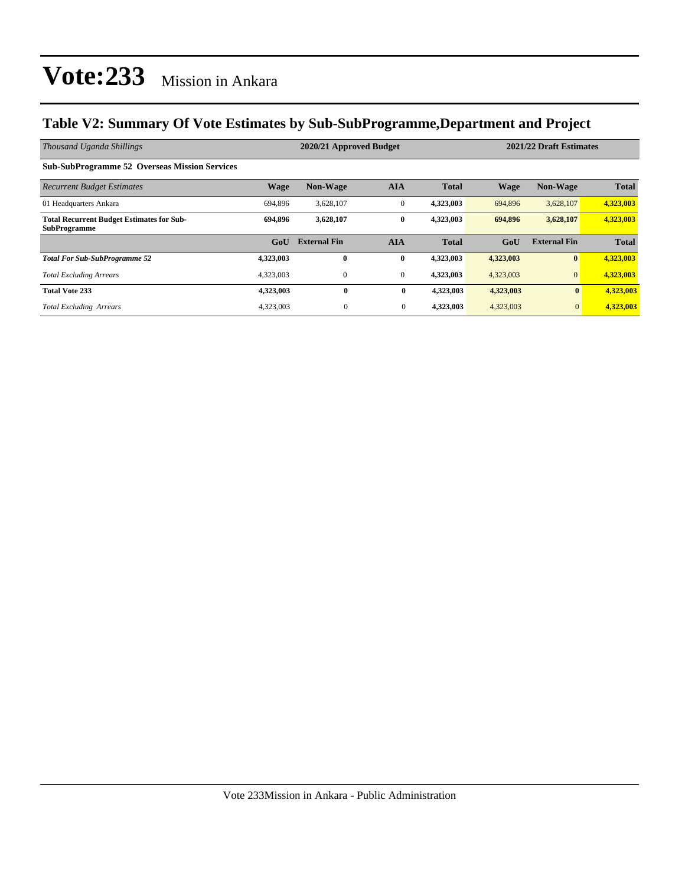#### **Table V2: Summary Of Vote Estimates by Sub-SubProgramme,Department and Project**

| Thousand Uganda Shillings                                               |             | 2020/21 Approved Budget |                |              | 2021/22 Draft Estimates |                     |              |
|-------------------------------------------------------------------------|-------------|-------------------------|----------------|--------------|-------------------------|---------------------|--------------|
| <b>Sub-SubProgramme 52 Overseas Mission Services</b>                    |             |                         |                |              |                         |                     |              |
| <b>Recurrent Budget Estimates</b>                                       | <b>Wage</b> | <b>Non-Wage</b>         | <b>AIA</b>     | <b>Total</b> | <b>Wage</b>             | <b>Non-Wage</b>     | <b>Total</b> |
| 01 Headquarters Ankara                                                  | 694.896     | 3,628,107               | $\mathbf{0}$   | 4,323,003    | 694,896                 | 3,628,107           | 4,323,003    |
| <b>Total Recurrent Budget Estimates for Sub-</b><br><b>SubProgramme</b> | 694.896     | 3,628,107               | $\bf{0}$       | 4,323,003    | 694,896                 | 3,628,107           | 4,323,003    |
|                                                                         | GoU         | <b>External Fin</b>     | <b>AIA</b>     | <b>Total</b> | GoU                     | <b>External Fin</b> | <b>Total</b> |
| <b>Total For Sub-SubProgramme 52</b>                                    | 4,323,003   | $\bf{0}$                | $\bf{0}$       | 4,323,003    | 4,323,003               | $\bf{0}$            | 4,323,003    |
| <b>Total Excluding Arrears</b>                                          | 4,323,003   | 0                       | $\overline{0}$ | 4,323,003    | 4,323,003               | $\mathbf{0}$        | 4,323,003    |
| <b>Total Vote 233</b>                                                   | 4,323,003   | $\bf{0}$                | $\bf{0}$       | 4,323,003    | 4,323,003               | $\mathbf{0}$        | 4,323,003    |
| <b>Total Excluding Arrears</b>                                          | 4,323,003   | $\overline{0}$          | $\mathbf{0}$   | 4,323,003    | 4,323,003               | $\mathbf{0}$        | 4,323,003    |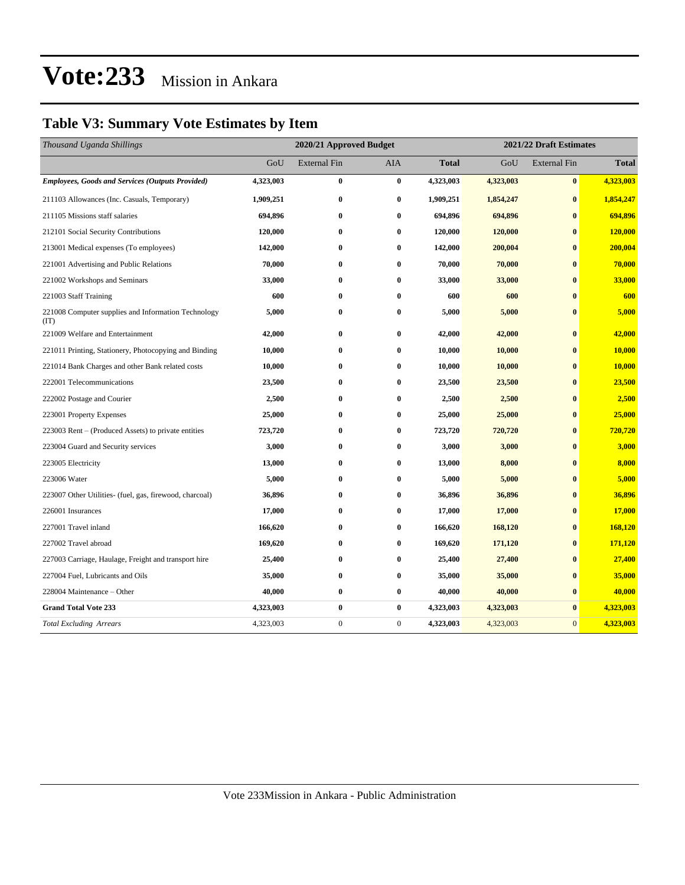#### **Table V3: Summary Vote Estimates by Item**

| Thousand Uganda Shillings                                   | 2020/21 Approved Budget |                     |                  |              | 2021/22 Draft Estimates |                     |              |  |
|-------------------------------------------------------------|-------------------------|---------------------|------------------|--------------|-------------------------|---------------------|--------------|--|
|                                                             | GoU                     | <b>External Fin</b> | AIA              | <b>Total</b> | GoU                     | <b>External Fin</b> | <b>Total</b> |  |
| <b>Employees, Goods and Services (Outputs Provided)</b>     | 4,323,003               | $\bf{0}$            | $\bf{0}$         | 4,323,003    | 4,323,003               | $\pmb{0}$           | 4,323,003    |  |
| 211103 Allowances (Inc. Casuals, Temporary)                 | 1,909,251               | $\bf{0}$            | $\bf{0}$         | 1,909,251    | 1,854,247               | $\bf{0}$            | 1,854,247    |  |
| 211105 Missions staff salaries                              | 694,896                 | $\bf{0}$            | $\bf{0}$         | 694,896      | 694,896                 | $\bf{0}$            | 694,896      |  |
| 212101 Social Security Contributions                        | 120,000                 | $\bf{0}$            | $\bf{0}$         | 120,000      | 120,000                 | $\bf{0}$            | 120,000      |  |
| 213001 Medical expenses (To employees)                      | 142,000                 | $\bf{0}$            | $\bf{0}$         | 142,000      | 200,004                 | $\bf{0}$            | 200,004      |  |
| 221001 Advertising and Public Relations                     | 70,000                  | $\bf{0}$            | $\bf{0}$         | 70,000       | 70,000                  | $\bf{0}$            | 70,000       |  |
| 221002 Workshops and Seminars                               | 33,000                  | $\bf{0}$            | $\bf{0}$         | 33,000       | 33,000                  | $\bf{0}$            | 33,000       |  |
| 221003 Staff Training                                       | 600                     | $\bf{0}$            | $\bf{0}$         | 600          | 600                     | $\bf{0}$            | 600          |  |
| 221008 Computer supplies and Information Technology<br>(TT) | 5,000                   | $\bf{0}$            | $\bf{0}$         | 5,000        | 5,000                   | $\bf{0}$            | 5,000        |  |
| 221009 Welfare and Entertainment                            | 42,000                  | $\bf{0}$            | $\bf{0}$         | 42,000       | 42,000                  | $\bf{0}$            | 42,000       |  |
| 221011 Printing, Stationery, Photocopying and Binding       | 10,000                  | $\bf{0}$            | $\bf{0}$         | 10,000       | 10,000                  | $\bf{0}$            | 10,000       |  |
| 221014 Bank Charges and other Bank related costs            | 10,000                  | $\bf{0}$            | $\bf{0}$         | 10,000       | 10,000                  | $\bf{0}$            | 10,000       |  |
| 222001 Telecommunications                                   | 23,500                  | $\bf{0}$            | $\bf{0}$         | 23,500       | 23,500                  | $\bf{0}$            | 23,500       |  |
| 222002 Postage and Courier                                  | 2,500                   | $\bf{0}$            | $\bf{0}$         | 2,500        | 2,500                   | $\bf{0}$            | 2,500        |  |
| 223001 Property Expenses                                    | 25,000                  | $\bf{0}$            | $\bf{0}$         | 25,000       | 25,000                  | $\bf{0}$            | 25,000       |  |
| 223003 Rent – (Produced Assets) to private entities         | 723,720                 | $\bf{0}$            | $\bf{0}$         | 723,720      | 720,720                 | $\bf{0}$            | 720,720      |  |
| 223004 Guard and Security services                          | 3,000                   | $\bf{0}$            | $\bf{0}$         | 3,000        | 3,000                   | $\bf{0}$            | 3,000        |  |
| 223005 Electricity                                          | 13,000                  | $\bf{0}$            | $\bf{0}$         | 13,000       | 8,000                   | $\bf{0}$            | 8,000        |  |
| 223006 Water                                                | 5,000                   | $\bf{0}$            | $\bf{0}$         | 5,000        | 5,000                   | $\bf{0}$            | 5,000        |  |
| 223007 Other Utilities- (fuel, gas, firewood, charcoal)     | 36,896                  | $\bf{0}$            | $\bf{0}$         | 36,896       | 36,896                  | $\bf{0}$            | 36,896       |  |
| 226001 Insurances                                           | 17,000                  | $\bf{0}$            | $\bf{0}$         | 17,000       | 17,000                  | $\bf{0}$            | 17,000       |  |
| 227001 Travel inland                                        | 166,620                 | $\bf{0}$            | $\bf{0}$         | 166,620      | 168,120                 | $\bf{0}$            | 168,120      |  |
| 227002 Travel abroad                                        | 169,620                 | $\bf{0}$            | $\bf{0}$         | 169,620      | 171,120                 | $\mathbf{0}$        | 171,120      |  |
| 227003 Carriage, Haulage, Freight and transport hire        | 25,400                  | $\bf{0}$            | $\bf{0}$         | 25,400       | 27,400                  | $\bf{0}$            | 27,400       |  |
| 227004 Fuel, Lubricants and Oils                            | 35,000                  | $\bf{0}$            | $\bf{0}$         | 35,000       | 35,000                  | $\bf{0}$            | 35,000       |  |
| 228004 Maintenance - Other                                  | 40,000                  | $\bf{0}$            | $\bf{0}$         | 40,000       | 40,000                  | $\bf{0}$            | 40,000       |  |
| <b>Grand Total Vote 233</b>                                 | 4,323,003               | $\bf{0}$            | $\bf{0}$         | 4,323,003    | 4,323,003               | $\bf{0}$            | 4,323,003    |  |
| <b>Total Excluding Arrears</b>                              | 4,323,003               | $\boldsymbol{0}$    | $\boldsymbol{0}$ | 4,323,003    | 4,323,003               | $\mathbf{0}$        | 4,323,003    |  |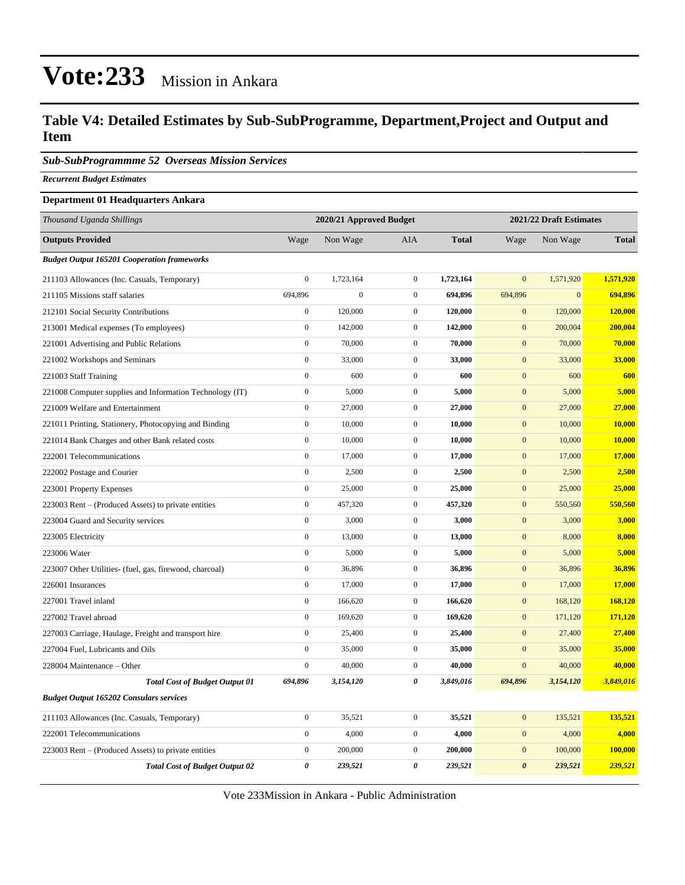#### **Table V4: Detailed Estimates by Sub-SubProgramme, Department,Project and Output and Item**

*Sub-SubProgrammme 52 Overseas Mission Services*

*Recurrent Budget Estimates*

#### **Department 01 Headquarters Ankara**

| Thousand Uganda Shillings                                |                  | 2020/21 Approved Budget |                  | 2021/22 Draft Estimates |                       |              |              |
|----------------------------------------------------------|------------------|-------------------------|------------------|-------------------------|-----------------------|--------------|--------------|
| <b>Outputs Provided</b>                                  | Wage             | Non Wage                | AIA              | <b>Total</b>            | Wage                  | Non Wage     | <b>Total</b> |
| <b>Budget Output 165201 Cooperation frameworks</b>       |                  |                         |                  |                         |                       |              |              |
| 211103 Allowances (Inc. Casuals, Temporary)              | $\boldsymbol{0}$ | 1,723,164               | $\boldsymbol{0}$ | 1,723,164               | $\mathbf{0}$          | 1,571,920    | 1,571,920    |
| 211105 Missions staff salaries                           | 694,896          | $\overline{0}$          | $\mathbf{0}$     | 694,896                 | 694,896               | $\mathbf{0}$ | 694,896      |
| 212101 Social Security Contributions                     | $\overline{0}$   | 120,000                 | $\mathbf{0}$     | 120,000                 | $\mathbf{0}$          | 120,000      | 120,000      |
| 213001 Medical expenses (To employees)                   | $\boldsymbol{0}$ | 142,000                 | $\mathbf{0}$     | 142,000                 | $\mathbf{0}$          | 200,004      | 200,004      |
| 221001 Advertising and Public Relations                  | $\overline{0}$   | 70,000                  | $\boldsymbol{0}$ | 70,000                  | $\mathbf{0}$          | 70,000       | 70,000       |
| 221002 Workshops and Seminars                            | $\boldsymbol{0}$ | 33,000                  | $\boldsymbol{0}$ | 33,000                  | $\mathbf{0}$          | 33,000       | 33,000       |
| 221003 Staff Training                                    | $\boldsymbol{0}$ | 600                     | $\boldsymbol{0}$ | 600                     | $\mathbf{0}$          | 600          | 600          |
| 221008 Computer supplies and Information Technology (IT) | $\boldsymbol{0}$ | 5,000                   | $\boldsymbol{0}$ | 5,000                   | $\mathbf{0}$          | 5,000        | 5,000        |
| 221009 Welfare and Entertainment                         | $\mathbf{0}$     | 27,000                  | $\boldsymbol{0}$ | 27,000                  | $\mathbf{0}$          | 27,000       | 27,000       |
| 221011 Printing, Stationery, Photocopying and Binding    | $\boldsymbol{0}$ | 10,000                  | $\boldsymbol{0}$ | 10,000                  | $\mathbf{0}$          | 10,000       | 10,000       |
| 221014 Bank Charges and other Bank related costs         | $\boldsymbol{0}$ | 10,000                  | $\boldsymbol{0}$ | 10,000                  | $\mathbf{0}$          | 10,000       | 10,000       |
| 222001 Telecommunications                                | $\boldsymbol{0}$ | 17,000                  | $\boldsymbol{0}$ | 17,000                  | $\mathbf{0}$          | 17,000       | 17,000       |
| 222002 Postage and Courier                               | $\boldsymbol{0}$ | 2,500                   | $\boldsymbol{0}$ | 2,500                   | $\mathbf{0}$          | 2,500        | 2,500        |
| 223001 Property Expenses                                 | $\boldsymbol{0}$ | 25,000                  | $\mathbf{0}$     | 25,000                  | $\mathbf{0}$          | 25,000       | 25,000       |
| 223003 Rent – (Produced Assets) to private entities      | $\boldsymbol{0}$ | 457,320                 | $\boldsymbol{0}$ | 457,320                 | $\boldsymbol{0}$      | 550,560      | 550,560      |
| 223004 Guard and Security services                       | $\boldsymbol{0}$ | 3,000                   | $\boldsymbol{0}$ | 3,000                   | $\boldsymbol{0}$      | 3,000        | 3,000        |
| 223005 Electricity                                       | $\mathbf{0}$     | 13,000                  | $\boldsymbol{0}$ | 13,000                  | $\mathbf{0}$          | 8,000        | 8,000        |
| 223006 Water                                             | $\boldsymbol{0}$ | 5,000                   | $\boldsymbol{0}$ | 5,000                   | $\boldsymbol{0}$      | 5,000        | 5,000        |
| 223007 Other Utilities- (fuel, gas, firewood, charcoal)  | $\boldsymbol{0}$ | 36,896                  | $\boldsymbol{0}$ | 36,896                  | $\mathbf{0}$          | 36,896       | 36,896       |
| 226001 Insurances                                        | $\boldsymbol{0}$ | 17,000                  | $\boldsymbol{0}$ | 17,000                  | $\mathbf{0}$          | 17,000       | 17,000       |
| 227001 Travel inland                                     | $\boldsymbol{0}$ | 166,620                 | $\boldsymbol{0}$ | 166,620                 | $\mathbf{0}$          | 168,120      | 168,120      |
| 227002 Travel abroad                                     | $\overline{0}$   | 169,620                 | $\mathbf{0}$     | 169,620                 | $\mathbf{0}$          | 171,120      | 171,120      |
| 227003 Carriage, Haulage, Freight and transport hire     | $\boldsymbol{0}$ | 25,400                  | $\mathbf{0}$     | 25,400                  | $\mathbf{0}$          | 27,400       | 27,400       |
| 227004 Fuel, Lubricants and Oils                         | $\boldsymbol{0}$ | 35,000                  | $\boldsymbol{0}$ | 35,000                  | $\boldsymbol{0}$      | 35,000       | 35,000       |
| 228004 Maintenance - Other                               | $\boldsymbol{0}$ | 40,000                  | $\boldsymbol{0}$ | 40,000                  | $\mathbf{0}$          | 40,000       | 40,000       |
| <b>Total Cost of Budget Output 01</b>                    | 694,896          | 3,154,120               | 0                | 3,849,016               | 694,896               | 3,154,120    | 3,849,016    |
| <b>Budget Output 165202 Consulars services</b>           |                  |                         |                  |                         |                       |              |              |
| 211103 Allowances (Inc. Casuals, Temporary)              | $\boldsymbol{0}$ | 35,521                  | $\boldsymbol{0}$ | 35,521                  | $\mathbf{0}$          | 135,521      | 135,521      |
| 222001 Telecommunications                                | $\boldsymbol{0}$ | 4,000                   | $\mathbf{0}$     | 4,000                   | $\mathbf{0}$          | 4,000        | 4,000        |
| 223003 Rent – (Produced Assets) to private entities      | $\boldsymbol{0}$ | 200,000                 | $\mathbf{0}$     | 200,000                 | $\boldsymbol{0}$      | 100,000      | 100,000      |
| <b>Total Cost of Budget Output 02</b>                    | 0                | 239,521                 | 0                | 239,521                 | $\boldsymbol{\theta}$ | 239,521      | 239,521      |
|                                                          |                  |                         |                  |                         |                       |              |              |

Vote 233Mission in Ankara - Public Administration